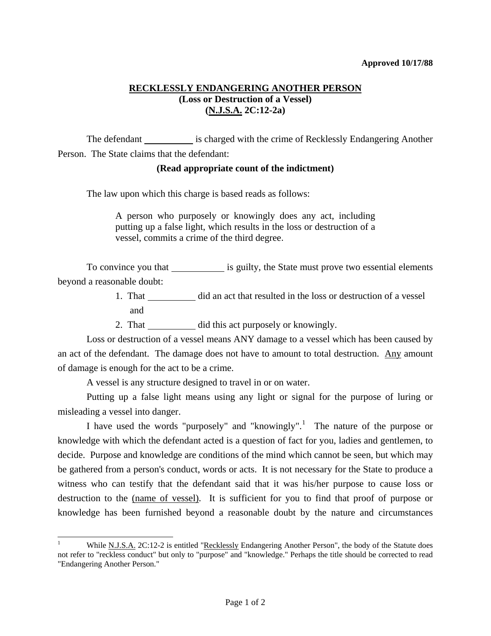## **RECKLESSLY ENDANGERING ANOTHER PERSON (Loss or Destruction of a Vessel) (N.J.S.A. 2C:12-2a)**

The defendant is charged with the crime of Recklessly Endangering Another Person. The State claims that the defendant:

## **(Read appropriate count of the indictment)**

The law upon which this charge is based reads as follows:

A person who purposely or knowingly does any act, including putting up a false light, which results in the loss or destruction of a vessel, commits a crime of the third degree.

To convince you that \_\_\_\_\_\_\_\_\_\_\_\_\_\_ is guilty, the State must prove two essential elements beyond a reasonable doubt:

- 1. That did an act that resulted in the loss or destruction of a vessel and
- 2. That \_\_\_\_\_\_\_\_\_\_\_\_ did this act purposely or knowingly.

 Loss or destruction of a vessel means ANY damage to a vessel which has been caused by an act of the defendant. The damage does not have to amount to total destruction. Any amount of damage is enough for the act to be a crime.

A vessel is any structure designed to travel in or on water.

l

 Putting up a false light means using any light or signal for the purpose of luring or misleading a vessel into danger.

I have used the words "purposely" and "knowingly".<sup>[1](#page-0-0)</sup> The nature of the purpose or knowledge with which the defendant acted is a question of fact for you, ladies and gentlemen, to decide. Purpose and knowledge are conditions of the mind which cannot be seen, but which may be gathered from a person's conduct, words or acts. It is not necessary for the State to produce a witness who can testify that the defendant said that it was his/her purpose to cause loss or destruction to the (name of vessel). It is sufficient for you to find that proof of purpose or knowledge has been furnished beyond a reasonable doubt by the nature and circumstances

<span id="page-0-1"></span><span id="page-0-0"></span><sup>1</sup> While N.J.S.A. 2C:12-2 is entitled "Recklessly Endangering Another Person", the body of the Statute does not refer to "reckless conduct" but only to "purpose" and "knowledge." Perhaps the title should be corrected to read "Endangering Another Person."